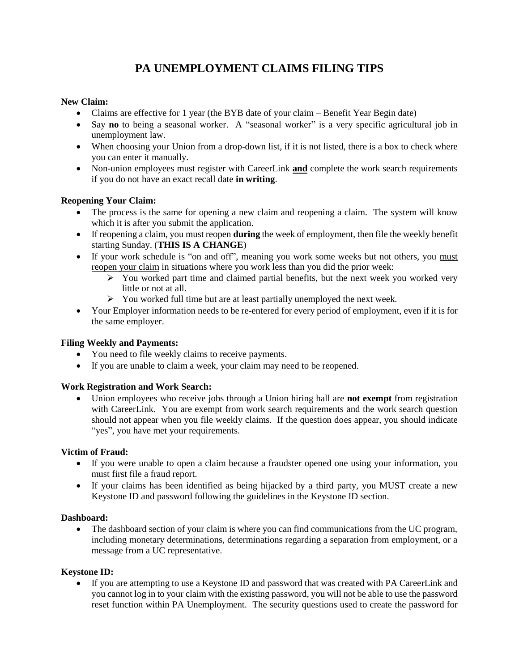# **PA UNEMPLOYMENT CLAIMS FILING TIPS**

# **New Claim:**

- Claims are effective for 1 year (the BYB date of your claim Benefit Year Begin date)
- Say **no** to being a seasonal worker. A "seasonal worker" is a very specific agricultural job in unemployment law.
- When choosing your Union from a drop-down list, if it is not listed, there is a box to check where you can enter it manually.
- Non-union employees must register with CareerLink **and** complete the work search requirements if you do not have an exact recall date **in writing**.

# **Reopening Your Claim:**

- The process is the same for opening a new claim and reopening a claim. The system will know which it is after you submit the application.
- If reopening a claim, you must reopen **during** the week of employment, then file the weekly benefit starting Sunday. (**THIS IS A CHANGE**)
- If your work schedule is "on and off", meaning you work some weeks but not others, you must reopen your claim in situations where you work less than you did the prior week:
	- $\triangleright$  You worked part time and claimed partial benefits, but the next week you worked very little or not at all.
	- $\triangleright$  You worked full time but are at least partially unemployed the next week.
- Your Employer information needs to be re-entered for every period of employment, even if it is for the same employer.

# **Filing Weekly and Payments:**

- You need to file weekly claims to receive payments.
- If you are unable to claim a week, your claim may need to be reopened.

# **Work Registration and Work Search:**

• Union employees who receive jobs through a Union hiring hall are **not exempt** from registration with CareerLink. You are exempt from work search requirements and the work search question should not appear when you file weekly claims. If the question does appear, you should indicate "yes", you have met your requirements.

#### **Victim of Fraud:**

- If you were unable to open a claim because a fraudster opened one using your information, you must first file a fraud report.
- If your claims has been identified as being hijacked by a third party, you MUST create a new Keystone ID and password following the guidelines in the Keystone ID section.

#### **Dashboard:**

• The dashboard section of your claim is where you can find communications from the UC program, including monetary determinations, determinations regarding a separation from employment, or a message from a UC representative.

#### **Keystone ID:**

• If you are attempting to use a Keystone ID and password that was created with PA CareerLink and you cannot log in to your claim with the existing password, you will not be able to use the password reset function within PA Unemployment. The security questions used to create the password for